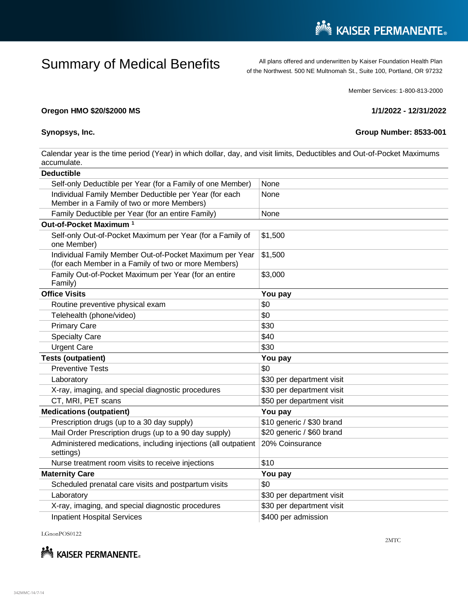## Summary of Medical Benefits All plans offered and underwritten by Kaiser Foundation Health Plan

of the Northwest. 500 NE Multnomah St., Suite 100, Portland, OR 97232

Member Services: 1-800-813-2000

## **Oregon HMO \$20/\$2000 MS 1/1/2022 - 12/31/2022**

**Synopsys, Inc. Group Number: 8533-001** 

Calendar year is the time period (Year) in which dollar, day, and visit limits, Deductibles and Out-of-Pocket Maximums accumulate.

| <b>Deductible</b>                                                                                               |                           |
|-----------------------------------------------------------------------------------------------------------------|---------------------------|
| Self-only Deductible per Year (for a Family of one Member)                                                      | None                      |
| Individual Family Member Deductible per Year (for each<br>Member in a Family of two or more Members)            | None                      |
| Family Deductible per Year (for an entire Family)                                                               | None                      |
| Out-of-Pocket Maximum <sup>1</sup>                                                                              |                           |
| Self-only Out-of-Pocket Maximum per Year (for a Family of<br>one Member)                                        | \$1,500                   |
| Individual Family Member Out-of-Pocket Maximum per Year<br>(for each Member in a Family of two or more Members) | \$1,500                   |
| Family Out-of-Pocket Maximum per Year (for an entire<br>Family)                                                 | \$3,000                   |
| <b>Office Visits</b>                                                                                            | You pay                   |
| Routine preventive physical exam                                                                                | \$0                       |
| Telehealth (phone/video)                                                                                        | \$0                       |
| <b>Primary Care</b>                                                                                             | \$30                      |
| <b>Specialty Care</b>                                                                                           | \$40                      |
| <b>Urgent Care</b>                                                                                              | \$30                      |
| <b>Tests (outpatient)</b><br>You pay                                                                            |                           |
| <b>Preventive Tests</b>                                                                                         | \$0                       |
| Laboratory                                                                                                      | \$30 per department visit |
| X-ray, imaging, and special diagnostic procedures                                                               | \$30 per department visit |
| CT, MRI, PET scans                                                                                              | \$50 per department visit |
| <b>Medications (outpatient)</b><br>You pay                                                                      |                           |
| Prescription drugs (up to a 30 day supply)                                                                      | \$10 generic / \$30 brand |
| Mail Order Prescription drugs (up to a 90 day supply)                                                           | \$20 generic / \$60 brand |
| Administered medications, including injections (all outpatient<br>settings)                                     | 20% Coinsurance           |
| Nurse treatment room visits to receive injections                                                               | \$10                      |
| <b>Maternity Care</b>                                                                                           | You pay                   |
| Scheduled prenatal care visits and postpartum visits                                                            | \$0                       |
| Laboratory                                                                                                      | \$30 per department visit |
| X-ray, imaging, and special diagnostic procedures                                                               | \$30 per department visit |
| <b>Inpatient Hospital Services</b>                                                                              | \$400 per admission       |

LGnonPOS0122



2MTC